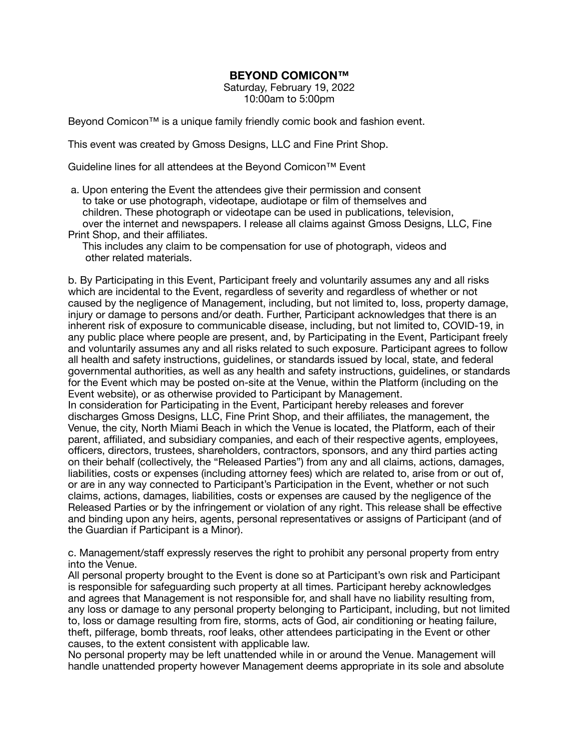## **BEYOND COMICON™**

Saturday, February 19, 2022 10:00am to 5:00pm

Beyond Comicon™ is a unique family friendly comic book and fashion event.

This event was created by Gmoss Designs, LLC and Fine Print Shop.

Guideline lines for all attendees at the Beyond Comicon™ Event

- a. Upon entering the Event the attendees give their permission and consent to take or use photograph, videotape, audiotape or film of themselves and children. These photograph or videotape can be used in publications, television, over the internet and newspapers. I release all claims against Gmoss Designs, LLC, Fine Print Shop, and their affiliates.
	- This includes any claim to be compensation for use of photograph, videos and other related materials.

b. By Participating in this Event, Participant freely and voluntarily assumes any and all risks which are incidental to the Event, regardless of severity and regardless of whether or not caused by the negligence of Management, including, but not limited to, loss, property damage, injury or damage to persons and/or death. Further, Participant acknowledges that there is an inherent risk of exposure to communicable disease, including, but not limited to, COVID-19, in any public place where people are present, and, by Participating in the Event, Participant freely and voluntarily assumes any and all risks related to such exposure. Participant agrees to follow all health and safety instructions, guidelines, or standards issued by local, state, and federal governmental authorities, as well as any health and safety instructions, guidelines, or standards for the Event which may be posted on-site at the Venue, within the Platform (including on the Event website), or as otherwise provided to Participant by Management.

In consideration for Participating in the Event, Participant hereby releases and forever discharges Gmoss Designs, LLC, Fine Print Shop, and their affiliates, the management, the Venue, the city, North Miami Beach in which the Venue is located, the Platform, each of their parent, affiliated, and subsidiary companies, and each of their respective agents, employees, officers, directors, trustees, shareholders, contractors, sponsors, and any third parties acting on their behalf (collectively, the "Released Parties") from any and all claims, actions, damages, liabilities, costs or expenses (including attorney fees) which are related to, arise from or out of, or are in any way connected to Participant's Participation in the Event, whether or not such claims, actions, damages, liabilities, costs or expenses are caused by the negligence of the Released Parties or by the infringement or violation of any right. This release shall be effective and binding upon any heirs, agents, personal representatives or assigns of Participant (and of the Guardian if Participant is a Minor).

c. Management/staff expressly reserves the right to prohibit any personal property from entry into the Venue.

All personal property brought to the Event is done so at Participant's own risk and Participant is responsible for safeguarding such property at all times. Participant hereby acknowledges and agrees that Management is not responsible for, and shall have no liability resulting from, any loss or damage to any personal property belonging to Participant, including, but not limited to, loss or damage resulting from fire, storms, acts of God, air conditioning or heating failure, theft, pilferage, bomb threats, roof leaks, other attendees participating in the Event or other causes, to the extent consistent with applicable law.

No personal property may be left unattended while in or around the Venue. Management will handle unattended property however Management deems appropriate in its sole and absolute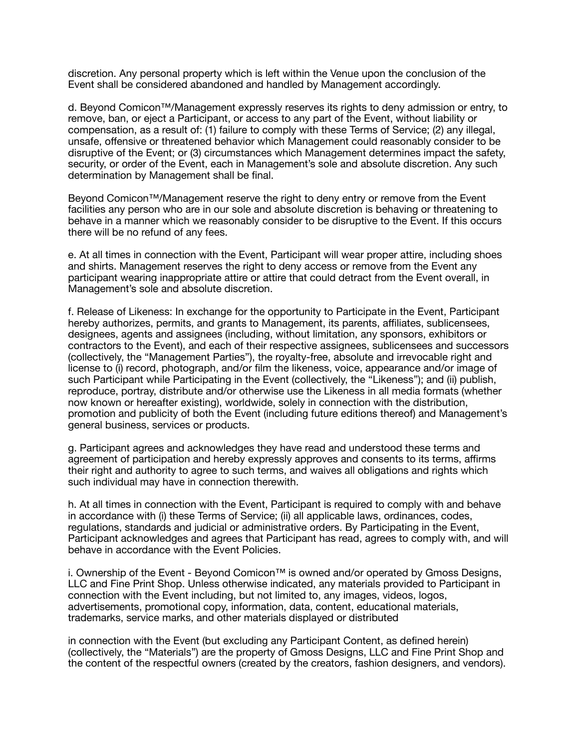discretion. Any personal property which is left within the Venue upon the conclusion of the Event shall be considered abandoned and handled by Management accordingly.

d. Beyond Comicon™/Management expressly reserves its rights to deny admission or entry, to remove, ban, or eject a Participant, or access to any part of the Event, without liability or compensation, as a result of: (1) failure to comply with these Terms of Service; (2) any illegal, unsafe, offensive or threatened behavior which Management could reasonably consider to be disruptive of the Event; or (3) circumstances which Management determines impact the safety, security, or order of the Event, each in Management's sole and absolute discretion. Any such determination by Management shall be final.

Beyond Comicon™/Management reserve the right to deny entry or remove from the Event facilities any person who are in our sole and absolute discretion is behaving or threatening to behave in a manner which we reasonably consider to be disruptive to the Event. If this occurs there will be no refund of any fees.

e. At all times in connection with the Event, Participant will wear proper attire, including shoes and shirts. Management reserves the right to deny access or remove from the Event any participant wearing inappropriate attire or attire that could detract from the Event overall, in Management's sole and absolute discretion.

f. Release of Likeness: In exchange for the opportunity to Participate in the Event, Participant hereby authorizes, permits, and grants to Management, its parents, affiliates, sublicensees, designees, agents and assignees (including, without limitation, any sponsors, exhibitors or contractors to the Event), and each of their respective assignees, sublicensees and successors (collectively, the "Management Parties"), the royalty-free, absolute and irrevocable right and license to (i) record, photograph, and/or film the likeness, voice, appearance and/or image of such Participant while Participating in the Event (collectively, the "Likeness"); and (ii) publish, reproduce, portray, distribute and/or otherwise use the Likeness in all media formats (whether now known or hereafter existing), worldwide, solely in connection with the distribution, promotion and publicity of both the Event (including future editions thereof) and Management's general business, services or products.

g. Participant agrees and acknowledges they have read and understood these terms and agreement of participation and hereby expressly approves and consents to its terms, affirms their right and authority to agree to such terms, and waives all obligations and rights which such individual may have in connection therewith.

h. At all times in connection with the Event, Participant is required to comply with and behave in accordance with (i) these Terms of Service; (ii) all applicable laws, ordinances, codes, regulations, standards and judicial or administrative orders. By Participating in the Event, Participant acknowledges and agrees that Participant has read, agrees to comply with, and will behave in accordance with the Event Policies.

i. Ownership of the Event - Beyond Comicon™ is owned and/or operated by Gmoss Designs, LLC and Fine Print Shop. Unless otherwise indicated, any materials provided to Participant in connection with the Event including, but not limited to, any images, videos, logos, advertisements, promotional copy, information, data, content, educational materials, trademarks, service marks, and other materials displayed or distributed

in connection with the Event (but excluding any Participant Content, as defined herein) (collectively, the "Materials") are the property of Gmoss Designs, LLC and Fine Print Shop and the content of the respectful owners (created by the creators, fashion designers, and vendors).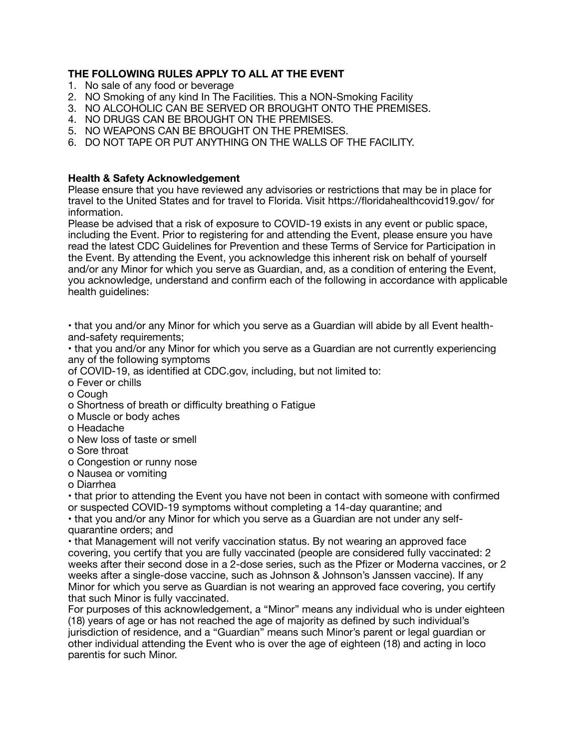## **THE FOLLOWING RULES APPLY TO ALL AT THE EVENT**

- 1. No sale of any food or beverage
- 2. NO Smoking of any kind In The Facilities. This a NON-Smoking Facility
- 3. NO ALCOHOLIC CAN BE SERVED OR BROUGHT ONTO THE PREMISES.
- 4. NO DRUGS CAN BE BROUGHT ON THE PREMISES.
- 5. NO WEAPONS CAN BE BROUGHT ON THE PREMISES.
- 6. DO NOT TAPE OR PUT ANYTHING ON THE WALLS OF THE FACILITY.

## **Health & Safety Acknowledgement**

Please ensure that you have reviewed any advisories or restrictions that may be in place for travel to the United States and for travel to Florida. Visit https://floridahealthcovid19.gov/ for information.

Please be advised that a risk of exposure to COVID-19 exists in any event or public space, including the Event. Prior to registering for and attending the Event, please ensure you have read the latest CDC Guidelines for Prevention and these Terms of Service for Participation in the Event. By attending the Event, you acknowledge this inherent risk on behalf of yourself and/or any Minor for which you serve as Guardian, and, as a condition of entering the Event, you acknowledge, understand and confirm each of the following in accordance with applicable health guidelines:

• that you and/or any Minor for which you serve as a Guardian will abide by all Event healthand-safety requirements;

• that you and/or any Minor for which you serve as a Guardian are not currently experiencing any of the following symptoms

of COVID-19, as identified at CDC.gov, including, but not limited to:

o Fever or chills

o Cough

o Shortness of breath or difficulty breathing o Fatigue

o Muscle or body aches

o Headache

- o New loss of taste or smell
- o Sore throat
- o Congestion or runny nose
- o Nausea or vomiting

o Diarrhea

• that prior to attending the Event you have not been in contact with someone with confirmed or suspected COVID-19 symptoms without completing a 14-day quarantine; and

• that you and/or any Minor for which you serve as a Guardian are not under any selfquarantine orders; and

• that Management will not verify vaccination status. By not wearing an approved face covering, you certify that you are fully vaccinated (people are considered fully vaccinated: 2 weeks after their second dose in a 2-dose series, such as the Pfizer or Moderna vaccines, or 2 weeks after a single-dose vaccine, such as Johnson & Johnson's Janssen vaccine). If any Minor for which you serve as Guardian is not wearing an approved face covering, you certify that such Minor is fully vaccinated.

For purposes of this acknowledgement, a "Minor" means any individual who is under eighteen (18) years of age or has not reached the age of majority as defined by such individual's jurisdiction of residence, and a "Guardian" means such Minor's parent or legal guardian or other individual attending the Event who is over the age of eighteen (18) and acting in loco parentis for such Minor.